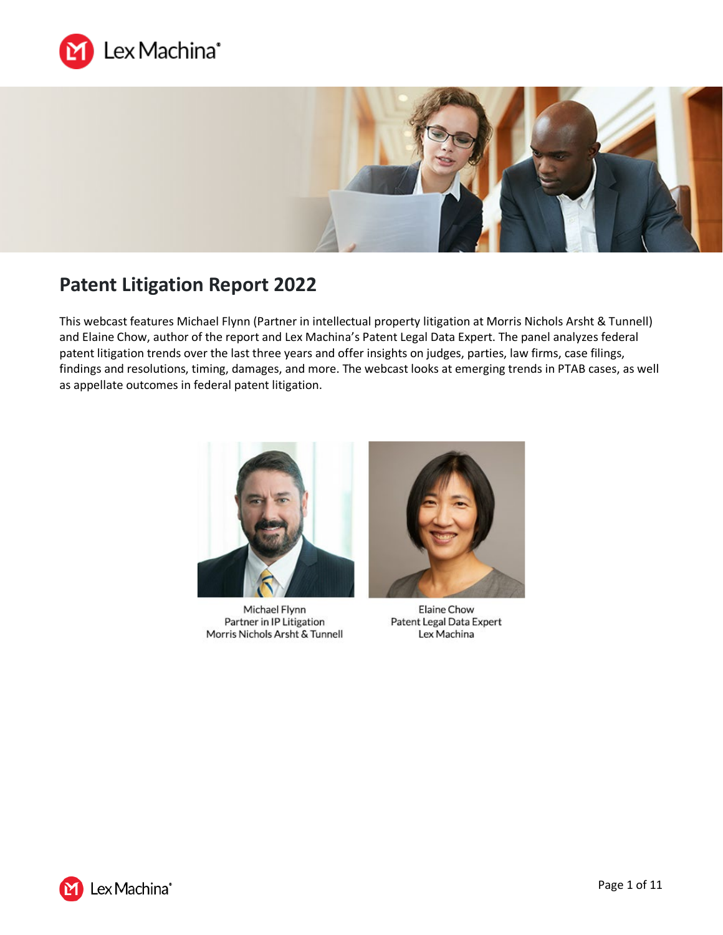



# **Patent Litigation Report 2022**

This webcast features Michael Flynn (Partner in intellectual property litigation at Morris Nichols Arsht & Tunnell) and Elaine Chow, author of the report and Lex Machina's Patent Legal Data Expert. The panel analyzes federal patent litigation trends over the last three years and offer insights on judges, parties, law firms, case filings, findings and resolutions, timing, damages, and more. The webcast looks at emerging trends in PTAB cases, as well as appellate outcomes in federal patent litigation.



Michael Flynn Partner in IP Litigation Morris Nichols Arsht & Tunnell



Elaine Chow Patent Legal Data Expert Lex Machina

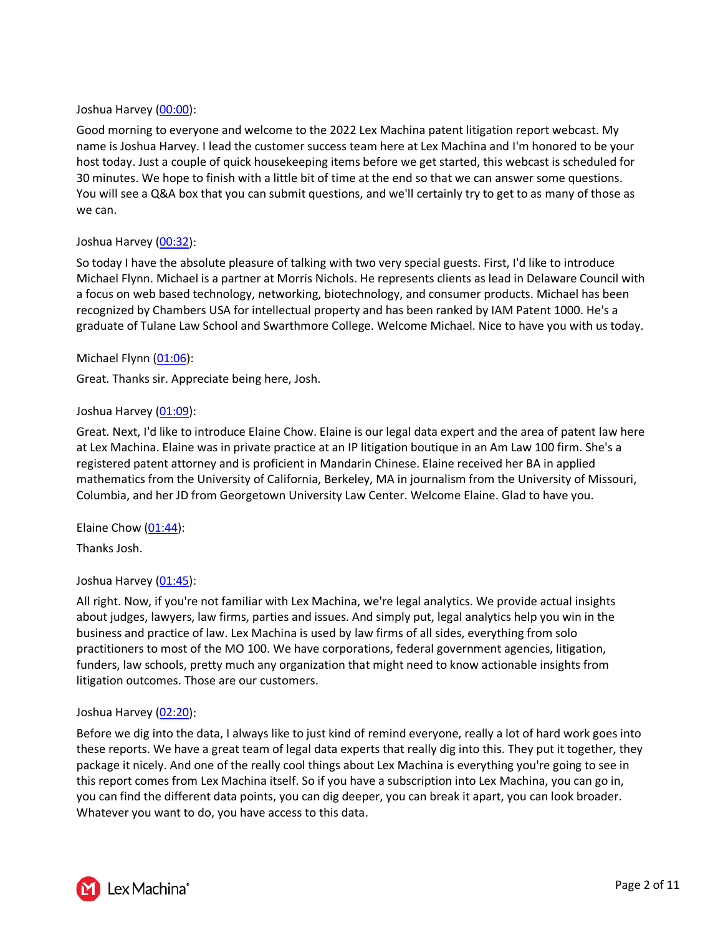#### Joshua Harvey [\(00:00\)](https://www.rev.com/transcript-editor/Edit?token=fuykgniJhNo8nK48tCOmN5iPx0HKcFZkhqrJX9ezJWRHfoQqlvtE_OCexE_S08WZRQzjU4GFLegD-iAx0_Jn7ulergs&loadFrom=DocumentDeeplink&ts=0.09):

Good morning to everyone and welcome to the 2022 Lex Machina patent litigation report webcast. My name is Joshua Harvey. I lead the customer success team here at Lex Machina and I'm honored to be your host today. Just a couple of quick housekeeping items before we get started, this webcast is scheduled for 30 minutes. We hope to finish with a little bit of time at the end so that we can answer some questions. You will see a Q&A box that you can submit questions, and we'll certainly try to get to as many of those as we can.

#### Joshua Harvey [\(00:32\)](https://www.rev.com/transcript-editor/Edit?token=NJlPqEglueN0TMmplt4L7sBGRXKfJ23SIgBxoD-WMyU1BlvCnMDDY8OVgqUa562mzrIDp2JKoW6csGcWy4cpr2rUM7M&loadFrom=DocumentDeeplink&ts=32.82):

So today I have the absolute pleasure of talking with two very special guests. First, I'd like to introduce Michael Flynn. Michael is a partner at Morris Nichols. He represents clients as lead in Delaware Council with a focus on web based technology, networking, biotechnology, and consumer products. Michael has been recognized by Chambers USA for intellectual property and has been ranked by IAM Patent 1000. He's a graduate of Tulane Law School and Swarthmore College. Welcome Michael. Nice to have you with us today.

#### Michael Flynn [\(01:06\)](https://www.rev.com/transcript-editor/Edit?token=09iQWzFdJODuypntNfWjY_ywSh3aRHAo2fb21Vu7to_Sh5Y146bZjdZWRIfQhfi1PjD71dM6eR0Vcr-3P7HQALNJdkw&loadFrom=DocumentDeeplink&ts=66.23):

Great. Thanks sir. Appreciate being here, Josh.

#### Joshua Harvey [\(01:09\)](https://www.rev.com/transcript-editor/Edit?token=GG3jUOcNzpkaahagpCSCiKXJSB_wz7feRnQoD7cmz2FdiTwnJZBxPjAsCl9rS7EYB8bWkpIktHzmb4vTaQsRZuMZrYE&loadFrom=DocumentDeeplink&ts=69.69):

Great. Next, I'd like to introduce Elaine Chow. Elaine is our legal data expert and the area of patent law here at Lex Machina. Elaine was in private practice at an IP litigation boutique in an Am Law 100 firm. She's a registered patent attorney and is proficient in Mandarin Chinese. Elaine received her BA in applied mathematics from the University of California, Berkeley, MA in journalism from the University of Missouri, Columbia, and her JD from Georgetown University Law Center. Welcome Elaine. Glad to have you.

Elaine Chow [\(01:44\)](https://www.rev.com/transcript-editor/Edit?token=aR-7fNXUQAzMPjNKW0iW4SNV8oJ45tsOBgfgs_-9omvRZeZO4oXbwhTOuDIQgDyeUwNZK7bbvOBQdUMqDJWclBjfq30&loadFrom=DocumentDeeplink&ts=104.15):

Thanks Josh.

# Joshua Harvey [\(01:45\)](https://www.rev.com/transcript-editor/Edit?token=bbJyP-YOnRkpzaB5a-OxVFwi-p8TMU_ZxKTlvJh-78TqijKhM0nuPTfeQDhFJk-t6H0w1wKsA6snGpnfXqXhxTx2bN4&loadFrom=DocumentDeeplink&ts=105.67):

All right. Now, if you're not familiar with Lex Machina, we're legal analytics. We provide actual insights about judges, lawyers, law firms, parties and issues. And simply put, legal analytics help you win in the business and practice of law. Lex Machina is used by law firms of all sides, everything from solo practitioners to most of the MO 100. We have corporations, federal government agencies, litigation, funders, law schools, pretty much any organization that might need to know actionable insights from litigation outcomes. Those are our customers.

#### Joshua Harvey [\(02:20\)](https://www.rev.com/transcript-editor/Edit?token=kkSzkiiwP4D20M-qxkqjWBQdZii5FedwkEyn0oMZ0xwvzDq9vssEbwpc4qUbxu3EpxiKyPTGMw_iX3MopI8EbC0lhbA&loadFrom=DocumentDeeplink&ts=140.49):

Before we dig into the data, I always like to just kind of remind everyone, really a lot of hard work goes into these reports. We have a great team of legal data experts that really dig into this. They put it together, they package it nicely. And one of the really cool things about Lex Machina is everything you're going to see in this report comes from Lex Machina itself. So if you have a subscription into Lex Machina, you can go in, you can find the different data points, you can dig deeper, you can break it apart, you can look broader. Whatever you want to do, you have access to this data.

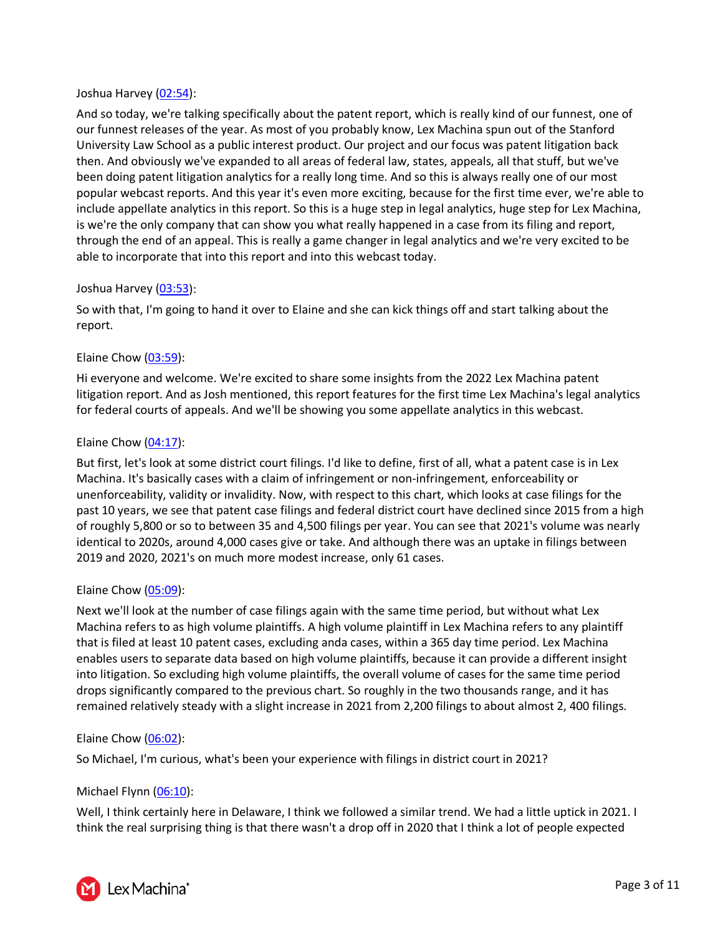#### Joshua Harvey [\(02:54\)](https://www.rev.com/transcript-editor/Edit?token=8Em6cZ0HinRRUHAZVBpAu146aKDkvX7elMOzsNTi4HDd8WT72ptBUfb1nw13UnXcHiqVOSIMQ08ipoWlsPKMCQWTZs4&loadFrom=DocumentDeeplink&ts=174.63):

And so today, we're talking specifically about the patent report, which is really kind of our funnest, one of our funnest releases of the year. As most of you probably know, Lex Machina spun out of the Stanford University Law School as a public interest product. Our project and our focus was patent litigation back then. And obviously we've expanded to all areas of federal law, states, appeals, all that stuff, but we've been doing patent litigation analytics for a really long time. And so this is always really one of our most popular webcast reports. And this year it's even more exciting, because for the first time ever, we're able to include appellate analytics in this report. So this is a huge step in legal analytics, huge step for Lex Machina, is we're the only company that can show you what really happened in a case from its filing and report, through the end of an appeal. This is really a game changer in legal analytics and we're very excited to be able to incorporate that into this report and into this webcast today.

# Joshua Harvey [\(03:53\)](https://www.rev.com/transcript-editor/Edit?token=Cmrv72SAJJcJ4_r4UZHMQR79nDUjTvD4eiwrBhYAVd_zfkTaK_dSRTBVeBcGpDOPTkyVtkrRcJZV3JvZEdK1Du_uT6o&loadFrom=DocumentDeeplink&ts=233.26):

So with that, I'm going to hand it over to Elaine and she can kick things off and start talking about the report.

# Elaine Chow [\(03:59\)](https://www.rev.com/transcript-editor/Edit?token=jZN6twmchSb665ZakJWPQdD1vy2Jl5QNE3fw5B9plDklaN_hDRTV9V0rSflyr5PksQ793fQCGRCuow6fSvwIzNJH5RU&loadFrom=DocumentDeeplink&ts=239.42):

Hi everyone and welcome. We're excited to share some insights from the 2022 Lex Machina patent litigation report. And as Josh mentioned, this report features for the first time Lex Machina's legal analytics for federal courts of appeals. And we'll be showing you some appellate analytics in this webcast.

# Elaine Chow [\(04:17\)](https://www.rev.com/transcript-editor/Edit?token=B5xAx2Ezf3NnwZ1TB1gfBDp6-nPsexFU6mZWrrt_uFULTKIvsHZ1EhXIPzJY3_V0vpRxjQusiJxkC34C6BIkP3bNJqA&loadFrom=DocumentDeeplink&ts=257.08):

But first, let's look at some district court filings. I'd like to define, first of all, what a patent case is in Lex Machina. It's basically cases with a claim of infringement or non-infringement, enforceability or unenforceability, validity or invalidity. Now, with respect to this chart, which looks at case filings for the past 10 years, we see that patent case filings and federal district court have declined since 2015 from a high of roughly 5,800 or so to between 35 and 4,500 filings per year. You can see that 2021's volume was nearly identical to 2020s, around 4,000 cases give or take. And although there was an uptake in filings between 2019 and 2020, 2021's on much more modest increase, only 61 cases.

# Elaine Chow [\(05:09\)](https://www.rev.com/transcript-editor/Edit?token=P_XrKyum0gxi4EmcgHo1JLkEPFUZKfLGDsdv-nl_QqjndxhHIbV_2p8D_KVDFE8iYGBKgCa8dOemkNIHQF6_GRetbRQ&loadFrom=DocumentDeeplink&ts=309.51):

Next we'll look at the number of case filings again with the same time period, but without what Lex Machina refers to as high volume plaintiffs. A high volume plaintiff in Lex Machina refers to any plaintiff that is filed at least 10 patent cases, excluding anda cases, within a 365 day time period. Lex Machina enables users to separate data based on high volume plaintiffs, because it can provide a different insight into litigation. So excluding high volume plaintiffs, the overall volume of cases for the same time period drops significantly compared to the previous chart. So roughly in the two thousands range, and it has remained relatively steady with a slight increase in 2021 from 2,200 filings to about almost 2, 400 filings.

# Elaine Chow [\(06:02\)](https://www.rev.com/transcript-editor/Edit?token=WsfPv-YSYAGfLXzv6wsuP1bxx6BOpZ77Ne0zQsrearZPMrAaZhTa0NMzX3ap52_38wgseVptHGGnKVgyBKi0dgWD9vU&loadFrom=DocumentDeeplink&ts=362.8):

So Michael, I'm curious, what's been your experience with filings in district court in 2021?

# Michael Flynn [\(06:10\)](https://www.rev.com/transcript-editor/Edit?token=2OzWV-TVlcD6sWO5ZjmWaLPRoyOoLE1s3HtOPXKuxyjyOOd8rA35A-GjcaK05UBh2oP_XZUTimRCekO5BJRXOmAOZRQ&loadFrom=DocumentDeeplink&ts=370.95):

Well, I think certainly here in Delaware, I think we followed a similar trend. We had a little uptick in 2021. I think the real surprising thing is that there wasn't a drop off in 2020 that I think a lot of people expected

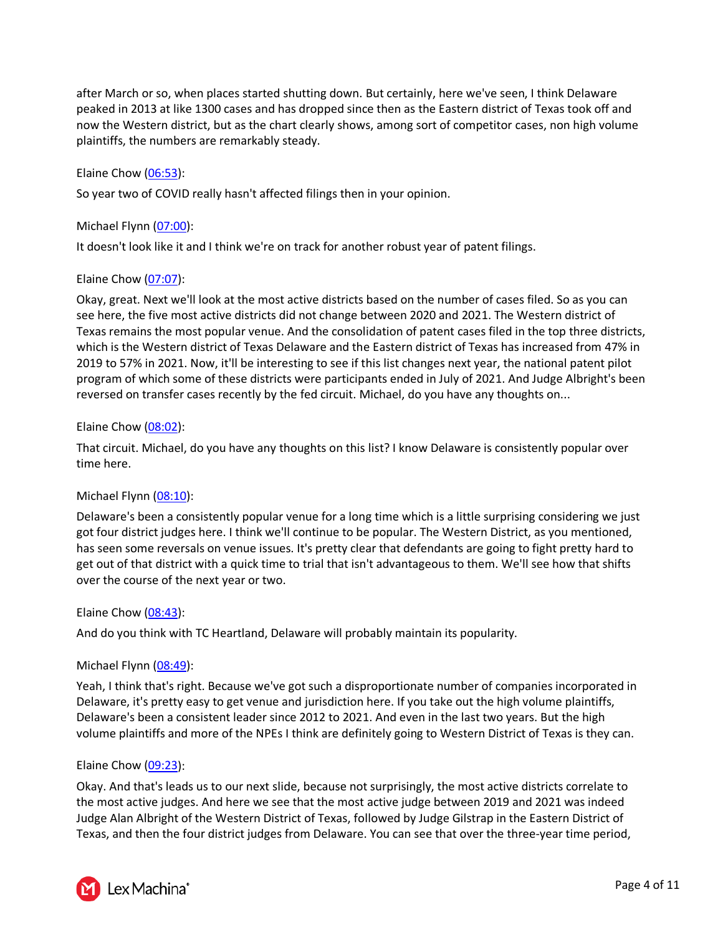after March or so, when places started shutting down. But certainly, here we've seen, I think Delaware peaked in 2013 at like 1300 cases and has dropped since then as the Eastern district of Texas took off and now the Western district, but as the chart clearly shows, among sort of competitor cases, non high volume plaintiffs, the numbers are remarkably steady.

# Elaine Chow [\(06:53\)](https://www.rev.com/transcript-editor/Edit?token=jKJ7ILsTBBIXIm3q6GRZ8VQWSViKl0RB-5ey1CqYccwZ_B2SLPrK4e5yHWM2Zae4fq5eDO8Mto-RS1WU1MF1RcupBcE&loadFrom=DocumentDeeplink&ts=413.91):

So year two of COVID really hasn't affected filings then in your opinion.

#### Michael Flynn [\(07:00\)](https://www.rev.com/transcript-editor/Edit?token=-J5hiOTlXGrInbJ4EpLV-Uv18_-YnoCNUkcJPTYRsbya2vR8RWU-BWxSlqSpb2hPfLUHUNLzpB05lqIvf2N2wAZLGzw&loadFrom=DocumentDeeplink&ts=420.43):

It doesn't look like it and I think we're on track for another robust year of patent filings.

#### Elaine Chow [\(07:07\)](https://www.rev.com/transcript-editor/Edit?token=XNNxaQ5p2U2nFZ5_AJkt4dqRs1d2lXwlac-BfqO4Mm9R7czMsoSZw8BNDUJ1ZX661LDA3FUaRQ_pwf1sfyKtUurDrj0&loadFrom=DocumentDeeplink&ts=427.29):

Okay, great. Next we'll look at the most active districts based on the number of cases filed. So as you can see here, the five most active districts did not change between 2020 and 2021. The Western district of Texas remains the most popular venue. And the consolidation of patent cases filed in the top three districts, which is the Western district of Texas Delaware and the Eastern district of Texas has increased from 47% in 2019 to 57% in 2021. Now, it'll be interesting to see if this list changes next year, the national patent pilot program of which some of these districts were participants ended in July of 2021. And Judge Albright's been reversed on transfer cases recently by the fed circuit. Michael, do you have any thoughts on...

#### Elaine Chow [\(08:02\)](https://www.rev.com/transcript-editor/Edit?token=DWnQ2JTtykhpEpYc2M6Ju5n9M6G1Bhya3ftcs1ILedjgyQ5ilYRf0mJHd-sVswC5RCNq8HkvgSg5ZbVkPaxrp2E50W4&loadFrom=DocumentDeeplink&ts=482.781):

That circuit. Michael, do you have any thoughts on this list? I know Delaware is consistently popular over time here.

# Michael Flynn [\(08:10\)](https://www.rev.com/transcript-editor/Edit?token=79NhwNRQyfwRSrYeJVxUdNhqiEuiMKmsQ515yiLlrQsx84V1bgJI4T9_yR_TOR_ioY2YB4QsW8OulT9qO1aQvPhi3z4&loadFrom=DocumentDeeplink&ts=490.58):

Delaware's been a consistently popular venue for a long time which is a little surprising considering we just got four district judges here. I think we'll continue to be popular. The Western District, as you mentioned, has seen some reversals on venue issues. It's pretty clear that defendants are going to fight pretty hard to get out of that district with a quick time to trial that isn't advantageous to them. We'll see how that shifts over the course of the next year or two.

#### Elaine Chow [\(08:43\)](https://www.rev.com/transcript-editor/Edit?token=XW7o1XQhfHR1HNsw3SXPAgDR8uFDgFy1ftUze2EPEplQomGhpjlcJ48IohqxH6z4XOXCJIDHXRPhMTbXBtUAa1k41Aw&loadFrom=DocumentDeeplink&ts=523.09):

And do you think with TC Heartland, Delaware will probably maintain its popularity.

#### Michael Flynn [\(08:49\)](https://www.rev.com/transcript-editor/Edit?token=1JENiXh1f3hP1mZTGmD6ePN7Oq7iSYVPiU5bKVgyWKuaGxyyDMYy17b2wTooOQKnalfnNOXu8F0Yt9H2_UrYpidcOPM&loadFrom=DocumentDeeplink&ts=529.85):

Yeah, I think that's right. Because we've got such a disproportionate number of companies incorporated in Delaware, it's pretty easy to get venue and jurisdiction here. If you take out the high volume plaintiffs, Delaware's been a consistent leader since 2012 to 2021. And even in the last two years. But the high volume plaintiffs and more of the NPEs I think are definitely going to Western District of Texas is they can.

#### Elaine Chow [\(09:23\)](https://www.rev.com/transcript-editor/Edit?token=2Z53yGUJQ19G4ADSBDyH5CBnc6FaBVnmS05cLDEuhO5ceJhtkN3I8Tr_Q4O01Rg85lJLtywD1yw4ML19WJciaPhFqEM&loadFrom=DocumentDeeplink&ts=563.1):

Okay. And that's leads us to our next slide, because not surprisingly, the most active districts correlate to the most active judges. And here we see that the most active judge between 2019 and 2021 was indeed Judge Alan Albright of the Western District of Texas, followed by Judge Gilstrap in the Eastern District of Texas, and then the four district judges from Delaware. You can see that over the three-year time period,

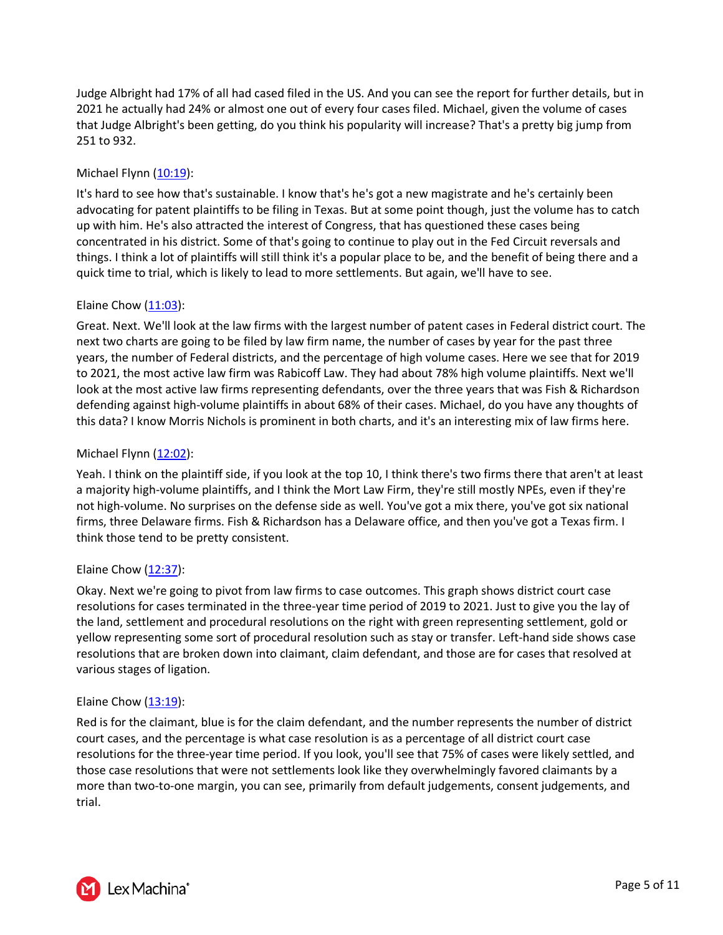Judge Albright had 17% of all had cased filed in the US. And you can see the report for further details, but in 2021 he actually had 24% or almost one out of every four cases filed. Michael, given the volume of cases that Judge Albright's been getting, do you think his popularity will increase? That's a pretty big jump from 251 to 932.

# Michael Flynn [\(10:19\)](https://www.rev.com/transcript-editor/Edit?token=S6pUd-PdHkoJ6elCpI_KtjRc9qz4pk4RBjxLxx8iZtdA4izh85shtMd6P9wpYioO91RNR0h3bWPK-wY0_4hG1cCzp7U&loadFrom=DocumentDeeplink&ts=619.43):

It's hard to see how that's sustainable. I know that's he's got a new magistrate and he's certainly been advocating for patent plaintiffs to be filing in Texas. But at some point though, just the volume has to catch up with him. He's also attracted the interest of Congress, that has questioned these cases being concentrated in his district. Some of that's going to continue to play out in the Fed Circuit reversals and things. I think a lot of plaintiffs will still think it's a popular place to be, and the benefit of being there and a quick time to trial, which is likely to lead to more settlements. But again, we'll have to see.

# Elaine Chow [\(11:03\)](https://www.rev.com/transcript-editor/Edit?token=2-vKtQGXf2LVdztbYK4cgBJkO-P7O4TRrKoZx5zJgJTRqgljEfLNiQZg_dyYU3K8LepeVetq_K1Kw_7zUZt9suQz-Ww&loadFrom=DocumentDeeplink&ts=663.07):

Great. Next. We'll look at the law firms with the largest number of patent cases in Federal district court. The next two charts are going to be filed by law firm name, the number of cases by year for the past three years, the number of Federal districts, and the percentage of high volume cases. Here we see that for 2019 to 2021, the most active law firm was Rabicoff Law. They had about 78% high volume plaintiffs. Next we'll look at the most active law firms representing defendants, over the three years that was Fish & Richardson defending against high-volume plaintiffs in about 68% of their cases. Michael, do you have any thoughts of this data? I know Morris Nichols is prominent in both charts, and it's an interesting mix of law firms here.

# Michael Flynn  $(12:02)$ :

Yeah. I think on the plaintiff side, if you look at the top 10, I think there's two firms there that aren't at least a majority high-volume plaintiffs, and I think the Mort Law Firm, they're still mostly NPEs, even if they're not high-volume. No surprises on the defense side as well. You've got a mix there, you've got six national firms, three Delaware firms. Fish & Richardson has a Delaware office, and then you've got a Texas firm. I think those tend to be pretty consistent.

# Elaine Chow [\(12:37\)](https://www.rev.com/transcript-editor/Edit?token=NNLijB_pXtyvvyuBlGvFcOWRHFpiiwaosfdPA7uLXyAZGFtcDsPb_yVg9SD-Kwo-B9fplwBH-B9DOGnsdyjtSOzVfMM&loadFrom=DocumentDeeplink&ts=757.55):

Okay. Next we're going to pivot from law firms to case outcomes. This graph shows district court case resolutions for cases terminated in the three-year time period of 2019 to 2021. Just to give you the lay of the land, settlement and procedural resolutions on the right with green representing settlement, gold or yellow representing some sort of procedural resolution such as stay or transfer. Left-hand side shows case resolutions that are broken down into claimant, claim defendant, and those are for cases that resolved at various stages of ligation.

# Elaine Chow [\(13:19\)](https://www.rev.com/transcript-editor/Edit?token=CAoOV3JntOPnM-MV69yeiRr2V_BUen1fSUZYddmeXV0n66lOqU1iv8vqFGj7r43vp9OtotCGJ-9kEQySCJIG4rgg234&loadFrom=DocumentDeeplink&ts=799.49):

Red is for the claimant, blue is for the claim defendant, and the number represents the number of district court cases, and the percentage is what case resolution is as a percentage of all district court case resolutions for the three-year time period. If you look, you'll see that 75% of cases were likely settled, and those case resolutions that were not settlements look like they overwhelmingly favored claimants by a more than two-to-one margin, you can see, primarily from default judgements, consent judgements, and trial.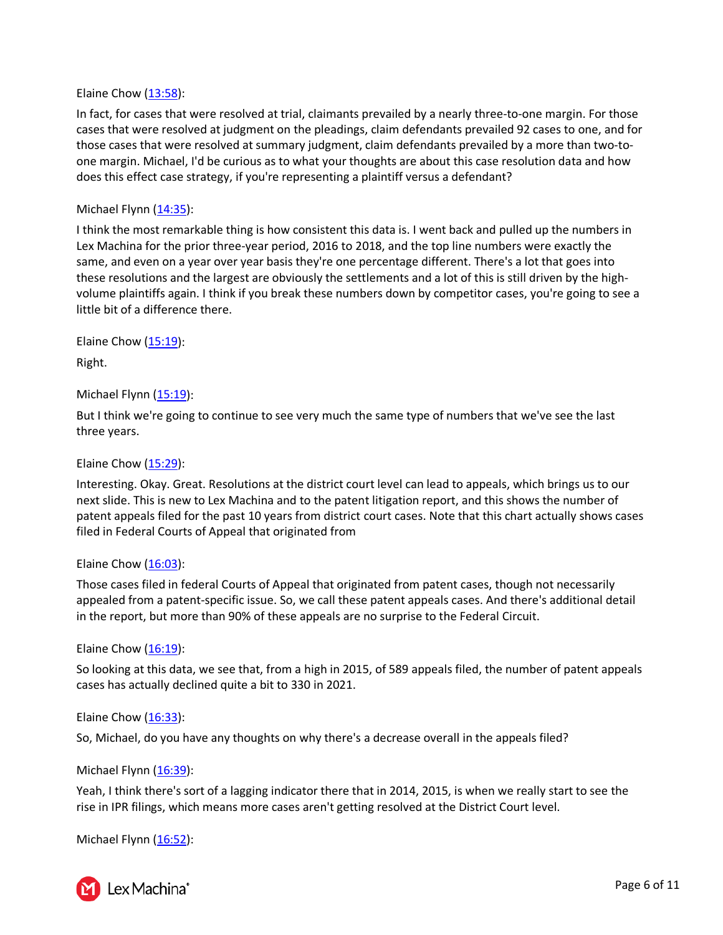#### Elaine Chow [\(13:58\)](https://www.rev.com/transcript-editor/Edit?token=dq_Xa8GVfS5H3bEM2-sgATwxyHGCYWAKRLPg2kUyPUemmVUgKF4s6MuNqiCqG84cC0Jkiv0q2JG9MMDvVXgYW8muIfg&loadFrom=DocumentDeeplink&ts=838.17):

In fact, for cases that were resolved at trial, claimants prevailed by a nearly three-to-one margin. For those cases that were resolved at judgment on the pleadings, claim defendants prevailed 92 cases to one, and for those cases that were resolved at summary judgment, claim defendants prevailed by a more than two-toone margin. Michael, I'd be curious as to what your thoughts are about this case resolution data and how does this effect case strategy, if you're representing a plaintiff versus a defendant?

#### Michael Flynn [\(14:35\)](https://www.rev.com/transcript-editor/Edit?token=-sPno3Fj2VHnAqAiNWY2c1Vc6Y5Om-8YvfdsRw8s2b3QzxW1_dwesLTivhr4W-vv79pLn90JIVLXjeF356I9VoVPTIE&loadFrom=DocumentDeeplink&ts=875.04):

I think the most remarkable thing is how consistent this data is. I went back and pulled up the numbers in Lex Machina for the prior three-year period, 2016 to 2018, and the top line numbers were exactly the same, and even on a year over year basis they're one percentage different. There's a lot that goes into these resolutions and the largest are obviously the settlements and a lot of this is still driven by the highvolume plaintiffs again. I think if you break these numbers down by competitor cases, you're going to see a little bit of a difference there.

Elaine Chow [\(15:19\)](https://www.rev.com/transcript-editor/Edit?token=XLjJRoYAm4V5Mj2Pql9wnqDIt6UvzjlHaUBOgLwZjaXe8Mz3lSaUXH8E9VRsYZkYdTBt4NAeLiSI-lLUde_c69mhIyo&loadFrom=DocumentDeeplink&ts=919.3):

Right.

Michael Flynn [\(15:19\)](https://www.rev.com/transcript-editor/Edit?token=4Ate0dKlYMtklgy9mBpGSrNnb4nW32_1yulIP_b9ftjEareVAaUliKsgz_pxiMk5me5irz5dJRCbOlOgcthWcYdHPlw&loadFrom=DocumentDeeplink&ts=919.91):

But I think we're going to continue to see very much the same type of numbers that we've see the last three years.

Elaine Chow [\(15:29\)](https://www.rev.com/transcript-editor/Edit?token=eS9RbJQC8QmpFFUAzj1V91wbvGmq_SvKhJBCszvcMZ2vdLPOUwCDdOkxs1UTPugsE30R7HXqrQs3lxrnYLTU1ai1ZWM&loadFrom=DocumentDeeplink&ts=929.42):

Interesting. Okay. Great. Resolutions at the district court level can lead to appeals, which brings us to our next slide. This is new to Lex Machina and to the patent litigation report, and this shows the number of patent appeals filed for the past 10 years from district court cases. Note that this chart actually shows cases filed in Federal Courts of Appeal that originated from

#### Elaine Chow  $(16:03)$ :

Those cases filed in federal Courts of Appeal that originated from patent cases, though not necessarily appealed from a patent-specific issue. So, we call these patent appeals cases. And there's additional detail in the report, but more than 90% of these appeals are no surprise to the Federal Circuit.

#### Elaine Chow [\(16:19\)](https://www.rev.com/transcript-editor/Edit?token=i6rlYf88c0UzmDTz9v4JIYSSnuLoReXhdmKzIC59kfw0oG3qDxcIj1MazOAbAGVph5mm5mXT_BFMGiBEpTz2ppDY8co&loadFrom=DocumentDeeplink&ts=979.56):

So looking at this data, we see that, from a high in 2015, of 589 appeals filed, the number of patent appeals cases has actually declined quite a bit to 330 in 2021.

#### Elaine Chow  $(16:33)$ :

So, Michael, do you have any thoughts on why there's a decrease overall in the appeals filed?

#### Michael Flynn  $(16:39)$ :

Yeah, I think there's sort of a lagging indicator there that in 2014, 2015, is when we really start to see the rise in IPR filings, which means more cases aren't getting resolved at the District Court level.

Michael Flynn [\(16:52\)](https://www.rev.com/transcript-editor/Edit?token=HyvwZOT9jS-HSAfsMkwcSiT9qSkJ4koJgoAPSsrv7zWsHWFtQumR_lNbcQW8AVc4F2uRynL9xxQMI0n_MXq14Fe_vTc&loadFrom=DocumentDeeplink&ts=1012.06):



Y Lex Machina<sup>®</sup>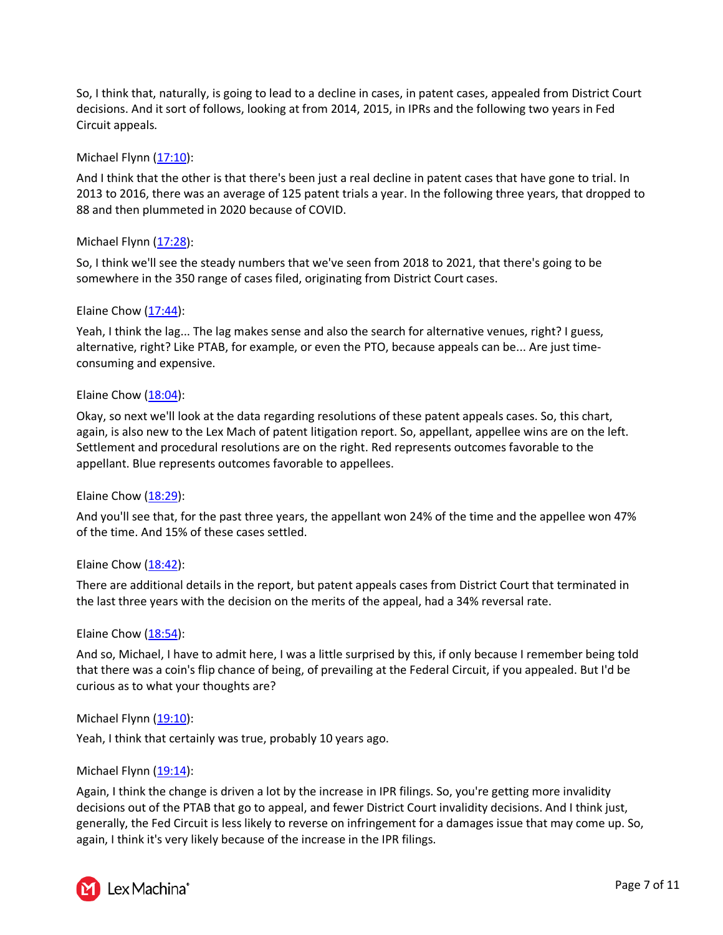So, I think that, naturally, is going to lead to a decline in cases, in patent cases, appealed from District Court decisions. And it sort of follows, looking at from 2014, 2015, in IPRs and the following two years in Fed Circuit appeals.

# Michael Flynn [\(17:10\)](https://www.rev.com/transcript-editor/Edit?token=4WaI4hAJwTRfbE0_Sy_o8f3V3KcXqdVnR0fyHmkvRZGIpBhV-b_CpVW6unIkOkiwheTivMAkwQimjN5EJ4N4FjXWdDg&loadFrom=DocumentDeeplink&ts=1030.04):

And I think that the other is that there's been just a real decline in patent cases that have gone to trial. In 2013 to 2016, there was an average of 125 patent trials a year. In the following three years, that dropped to 88 and then plummeted in 2020 because of COVID.

# Michael Flynn  $(17:28)$ :

So, I think we'll see the steady numbers that we've seen from 2018 to 2021, that there's going to be somewhere in the 350 range of cases filed, originating from District Court cases.

# Elaine Chow [\(17:44\)](https://www.rev.com/transcript-editor/Edit?token=YwuPr3DckrX6shevhNM1rxmi3U7OWf_MX65ULfrLK_bmfC8Fuw4HcBrCbM5ZU3-35o-prgzXZz4qewjXBVDvWP3F3FU&loadFrom=DocumentDeeplink&ts=1064.36):

Yeah, I think the lag... The lag makes sense and also the search for alternative venues, right? I guess, alternative, right? Like PTAB, for example, or even the PTO, because appeals can be... Are just timeconsuming and expensive.

# Elaine Chow  $(18:04)$ :

Okay, so next we'll look at the data regarding resolutions of these patent appeals cases. So, this chart, again, is also new to the Lex Mach of patent litigation report. So, appellant, appellee wins are on the left. Settlement and procedural resolutions are on the right. Red represents outcomes favorable to the appellant. Blue represents outcomes favorable to appellees.

# Elaine Chow [\(18:29\)](https://www.rev.com/transcript-editor/Edit?token=-4Xtrgno3yXZv8vWwg2uQ7tRzMEdFBvEEXXSzr0GLOA5ar6dW0ALO6Kxo4c8trHM91MsZbmnwfAICiQgn-J_68NPATI&loadFrom=DocumentDeeplink&ts=1109.55):

And you'll see that, for the past three years, the appellant won 24% of the time and the appellee won 47% of the time. And 15% of these cases settled.

# Elaine Chow  $(18:42)$ :

There are additional details in the report, but patent appeals cases from District Court that terminated in the last three years with the decision on the merits of the appeal, had a 34% reversal rate.

# Elaine Chow [\(18:54\)](https://www.rev.com/transcript-editor/Edit?token=7czXoex0WhjI_9cywqAeQPHW0aVrDk7lG7kjLibEf2IXEAPET8OjJXvGuYZ7nmnJnz2PZMBZuyNRxBHt6jHn9nSV4-o&loadFrom=DocumentDeeplink&ts=1134.65):

And so, Michael, I have to admit here, I was a little surprised by this, if only because I remember being told that there was a coin's flip chance of being, of prevailing at the Federal Circuit, if you appealed. But I'd be curious as to what your thoughts are?

# Michael Flynn  $(19:10)$ :

Yeah, I think that certainly was true, probably 10 years ago.

# Michael Flynn  $(19:14)$ :

Again, I think the change is driven a lot by the increase in IPR filings. So, you're getting more invalidity decisions out of the PTAB that go to appeal, and fewer District Court invalidity decisions. And I think just, generally, the Fed Circuit is less likely to reverse on infringement for a damages issue that may come up. So, again, I think it's very likely because of the increase in the IPR filings.

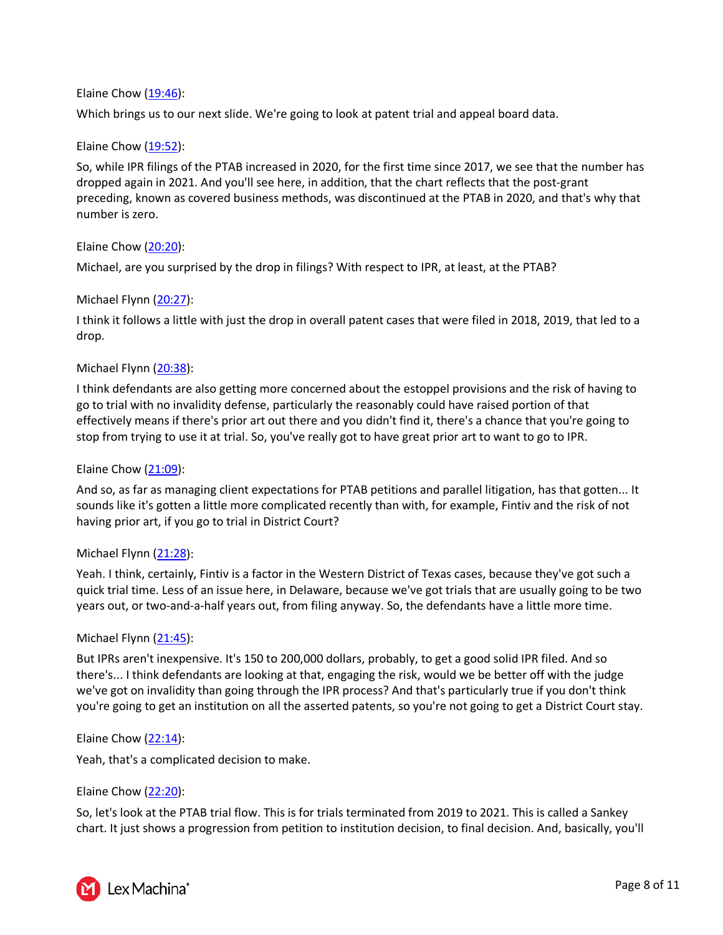# Elaine Chow [\(19:46\)](https://www.rev.com/transcript-editor/Edit?token=6cRYcjaW1DDWHAiBZ6Kau9UxwISyZ7oyK9nsWueMTOe8LCnG5vG4hlWXG6zYA6N33E8CrQb4R0KPcRK-zlqCZq16riY&loadFrom=DocumentDeeplink&ts=1186.56):

Which brings us to our next slide. We're going to look at patent trial and appeal board data.

# Elaine Chow [\(19:52\)](https://www.rev.com/transcript-editor/Edit?token=6W01nayxQCmNUACGv1XZKiVlC-ChpoJ-qC8bxUdLe4vDX6ajpn4O78YwX6-seVNGLYWGg9g5Z9cBUK67LNezhBWuVto&loadFrom=DocumentDeeplink&ts=1192.75):

So, while IPR filings of the PTAB increased in 2020, for the first time since 2017, we see that the number has dropped again in 2021. And you'll see here, in addition, that the chart reflects that the post-grant preceding, known as covered business methods, was discontinued at the PTAB in 2020, and that's why that number is zero.

# Elaine Chow [\(20:20\)](https://www.rev.com/transcript-editor/Edit?token=K784ZqY_pCoYg4VZrKQ9vepr0AvXTqLfoWPAUSGex1JnogRi4Cpgt-BaNJTdUlWKTSbie4wL03e0xpXQs5C9edo61ME&loadFrom=DocumentDeeplink&ts=1220.03):

Michael, are you surprised by the drop in filings? With respect to IPR, at least, at the PTAB?

# Michael Flynn [\(20:27\)](https://www.rev.com/transcript-editor/Edit?token=lCnBQHP36Sr9K7dNA8sYkp32nHAjNnoW43Z7v0S-mQVXxvk_rhr3vHYZnh0GbrmezhzEBfgOQSilyhh7MzE4vYk7yBs&loadFrom=DocumentDeeplink&ts=1227):

I think it follows a little with just the drop in overall patent cases that were filed in 2018, 2019, that led to a drop.

# Michael Flynn [\(20:38\)](https://www.rev.com/transcript-editor/Edit?token=CnHl4kWkkF4nSzV5SJ0bCwytOB72o0nCYffXH-TqW_KZflQhrBvSA-A2JCd9na09-kW-ZdOpz09RoMcLd5kPvsQnHFk&loadFrom=DocumentDeeplink&ts=1238.44):

I think defendants are also getting more concerned about the estoppel provisions and the risk of having to go to trial with no invalidity defense, particularly the reasonably could have raised portion of that effectively means if there's prior art out there and you didn't find it, there's a chance that you're going to stop from trying to use it at trial. So, you've really got to have great prior art to want to go to IPR.

# Elaine Chow [\(21:09\)](https://www.rev.com/transcript-editor/Edit?token=aJkMDKkAYExOr1Sn4kf6NSxOvvpH02PePx1e_9MTxBQtlUZUMVqpU3-o2qKPKYZDyaQwkBIRiEWSjGl4fssUXSr1hm4&loadFrom=DocumentDeeplink&ts=1269.37):

And so, as far as managing client expectations for PTAB petitions and parallel litigation, has that gotten... It sounds like it's gotten a little more complicated recently than with, for example, Fintiv and the risk of not having prior art, if you go to trial in District Court?

# Michael Flynn [\(21:28\)](https://www.rev.com/transcript-editor/Edit?token=Gj6-yqV6IXqfRy76DPQWRQdLzOYvEc_E1PDze2OAKQKTihspuvUSD2CvL7f_Ln0Z43jns_IClTKSqu2EJA7_WDTaJ1I&loadFrom=DocumentDeeplink&ts=1288.87):

Yeah. I think, certainly, Fintiv is a factor in the Western District of Texas cases, because they've got such a quick trial time. Less of an issue here, in Delaware, because we've got trials that are usually going to be two years out, or two-and-a-half years out, from filing anyway. So, the defendants have a little more time.

# Michael Flynn [\(21:45\)](https://www.rev.com/transcript-editor/Edit?token=qCtLhZs1e_NeInfzGUOFSpa6E9Ml8iVNf5HgXCOmOyB_cLpKO4HotDHnJtaw7TGByZKoE4sU-uIRfvuDorz_nvgaFAM&loadFrom=DocumentDeeplink&ts=1305.8):

But IPRs aren't inexpensive. It's 150 to 200,000 dollars, probably, to get a good solid IPR filed. And so there's... I think defendants are looking at that, engaging the risk, would we be better off with the judge we've got on invalidity than going through the IPR process? And that's particularly true if you don't think you're going to get an institution on all the asserted patents, so you're not going to get a District Court stay.

# Elaine Chow  $(22:14)$ :

Yeah, that's a complicated decision to make.

# Elaine Chow [\(22:20\)](https://www.rev.com/transcript-editor/Edit?token=NOMWhkTMquj169hJHL9WDczvURDU13kRePTQny-LqboeAwEKaBt2eNn79cc9MHO0m-HwlHRSNjucoSqC2H1lJ64Jzv4&loadFrom=DocumentDeeplink&ts=1340.09):

So, let's look at the PTAB trial flow. This is for trials terminated from 2019 to 2021. This is called a Sankey chart. It just shows a progression from petition to institution decision, to final decision. And, basically, you'll

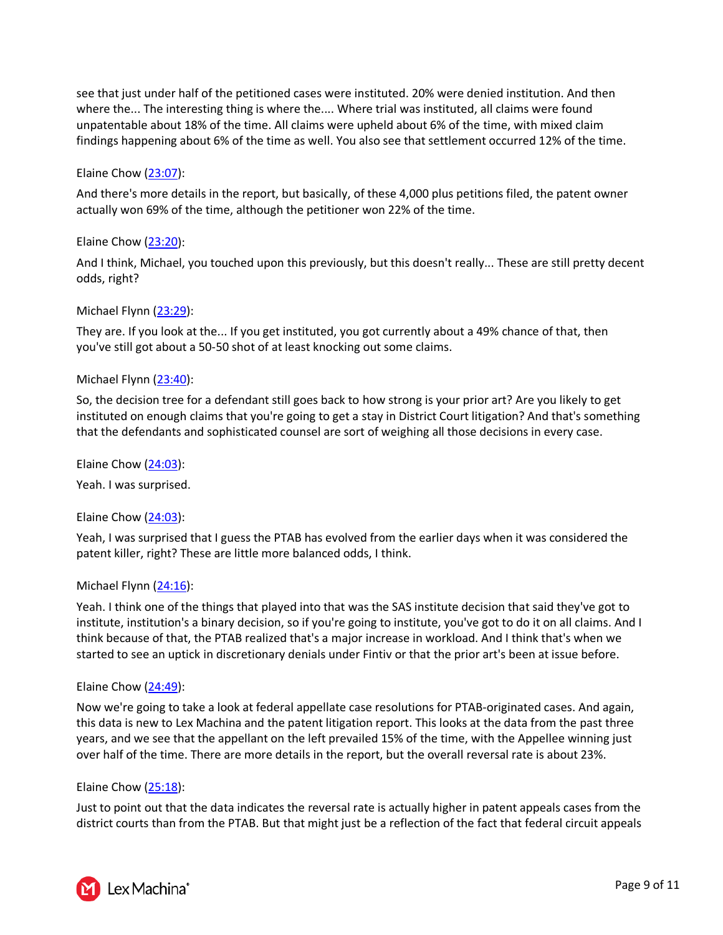see that just under half of the petitioned cases were instituted. 20% were denied institution. And then where the... The interesting thing is where the.... Where trial was instituted, all claims were found unpatentable about 18% of the time. All claims were upheld about 6% of the time, with mixed claim findings happening about 6% of the time as well. You also see that settlement occurred 12% of the time.

# Elaine Chow [\(23:07\)](https://www.rev.com/transcript-editor/Edit?token=CGjFroWKfJ8O2YXZqoz-m_p6O2jf7BcWQaPcO2CUNxoupB5bKD456Q8yKxjwtFhigw56ejUBcrYuWPhfqYIpc7O8nEQ&loadFrom=DocumentDeeplink&ts=1387.12):

And there's more details in the report, but basically, of these 4,000 plus petitions filed, the patent owner actually won 69% of the time, although the petitioner won 22% of the time.

# Elaine Chow [\(23:20\)](https://www.rev.com/transcript-editor/Edit?token=1Q7H4B1whDjoteKAxbZZSSWMCbrqfpJ2F9jRqOryzTXaUf5K8he-XkOzxUOUvSzCVTnPAoAm1Xn9BHQm1zb7WpocOgs&loadFrom=DocumentDeeplink&ts=1400.42):

And I think, Michael, you touched upon this previously, but this doesn't really... These are still pretty decent odds, right?

# Michael Flynn [\(23:29\)](https://www.rev.com/transcript-editor/Edit?token=hJzDgRK2S9C_rZl6SaB2iilUNETLlIUpygqPAz4HFyugQ-_on7OVbGpPSamK93kT4rOwZFbBv0bS1th_XpSSvMqIgzQ&loadFrom=DocumentDeeplink&ts=1409.7):

They are. If you look at the... If you get instituted, you got currently about a 49% chance of that, then you've still got about a 50-50 shot of at least knocking out some claims.

# Michael Flynn [\(23:40\)](https://www.rev.com/transcript-editor/Edit?token=CBe2p_0PCXlpJDcRCRzPxkpDeZ8duYd26YEB-rzdpZPJ0EAy8eMUHIgAgJ9JAtEYu5y2kUaL-4aEuvqurIqXr7GlK1I&loadFrom=DocumentDeeplink&ts=1420.33):

So, the decision tree for a defendant still goes back to how strong is your prior art? Are you likely to get instituted on enough claims that you're going to get a stay in District Court litigation? And that's something that the defendants and sophisticated counsel are sort of weighing all those decisions in every case.

Elaine Chow  $(24:03)$ :

Yeah. I was surprised.

# Elaine Chow [\(24:03\)](https://www.rev.com/transcript-editor/Edit?token=YgcgT7bl594G9tRiSPBVF15hdonHbE8QB50qMhuJ5tFQxK984IEyWecS_IdCpspmPoLSJakyEXC3AE4-eW4w_SFlyCU&loadFrom=DocumentDeeplink&ts=1443.33):

Yeah, I was surprised that I guess the PTAB has evolved from the earlier days when it was considered the patent killer, right? These are little more balanced odds, I think.

# Michael Flynn [\(24:16\)](https://www.rev.com/transcript-editor/Edit?token=p_hl-oekyAJgjd7VQPaF3_kiqjvepO0cScoL1xoxDvK-x3xPuI3SXz4AinQMM-XfIN0mmAhARBGHUQgcMhB3vB-i_0s&loadFrom=DocumentDeeplink&ts=1456.77):

Yeah. I think one of the things that played into that was the SAS institute decision that said they've got to institute, institution's a binary decision, so if you're going to institute, you've got to do it on all claims. And I think because of that, the PTAB realized that's a major increase in workload. And I think that's when we started to see an uptick in discretionary denials under Fintiv or that the prior art's been at issue before.

# Elaine Chow  $(24:49)$ :

Now we're going to take a look at federal appellate case resolutions for PTAB-originated cases. And again, this data is new to Lex Machina and the patent litigation report. This looks at the data from the past three years, and we see that the appellant on the left prevailed 15% of the time, with the Appellee winning just over half of the time. There are more details in the report, but the overall reversal rate is about 23%.

# Elaine Chow [\(25:18\)](https://www.rev.com/transcript-editor/Edit?token=kaRN7WXl5tFdmn3yPJHpo50SmWXI_01LuX-xvsRf-pzpI-_jifRD1BluxvH9W1GHjIKrvAh9q-pzX5tjLu5gPv95YbI&loadFrom=DocumentDeeplink&ts=1518.42):

Just to point out that the data indicates the reversal rate is actually higher in patent appeals cases from the district courts than from the PTAB. But that might just be a reflection of the fact that federal circuit appeals

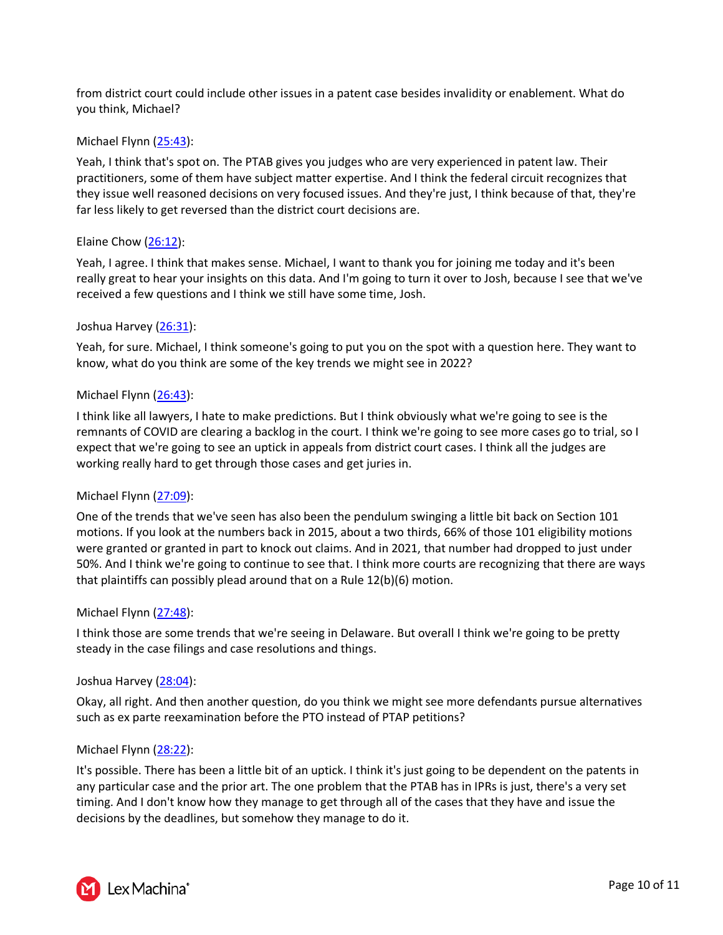from district court could include other issues in a patent case besides invalidity or enablement. What do you think, Michael?

#### Michael Flynn [\(25:43\)](https://www.rev.com/transcript-editor/Edit?token=g7wpN2bwz6DuKX0Q_8nmHbtjc8NMTaYdGnI0i76D0QDOHDz6aUOliJPrTQsQY4CDEGVpdfzoKAS-SdgmosQQs-oDwJ8&loadFrom=DocumentDeeplink&ts=1543.63):

Yeah, I think that's spot on. The PTAB gives you judges who are very experienced in patent law. Their practitioners, some of them have subject matter expertise. And I think the federal circuit recognizes that they issue well reasoned decisions on very focused issues. And they're just, I think because of that, they're far less likely to get reversed than the district court decisions are.

#### Elaine Chow [\(26:12\)](https://www.rev.com/transcript-editor/Edit?token=UM_CSh6t3tVIhqAkuHoZlJER95scvEpdgVcDX6sYDrP2d4_nNnOgjALgLf6Zd6cznBmUxea1aYoxIzNk0o2dQaPZcJI&loadFrom=DocumentDeeplink&ts=1572.86):

Yeah, I agree. I think that makes sense. Michael, I want to thank you for joining me today and it's been really great to hear your insights on this data. And I'm going to turn it over to Josh, because I see that we've received a few questions and I think we still have some time, Josh.

#### Joshua Harvey [\(26:31\)](https://www.rev.com/transcript-editor/Edit?token=3BzCiTivuFDHivd19-kr1S-xt4hfiTlfrZeyG3wBW-2-gXID3_E361BuoZUYVE8M2-gfmyckEVOPyDGS5k-b5OxGG6o&loadFrom=DocumentDeeplink&ts=1591.83):

Yeah, for sure. Michael, I think someone's going to put you on the spot with a question here. They want to know, what do you think are some of the key trends we might see in 2022?

#### Michael Flynn [\(26:43\)](https://www.rev.com/transcript-editor/Edit?token=9rC_h6Mi8nW1uO1Z5m3WYn1oi06GEiFFvl8kdCjcH-YKADwq7ANDKz6yqcgH0ibWnE2vRE-Suao2cdAj_4tAxxwttkQ&loadFrom=DocumentDeeplink&ts=1603.58):

I think like all lawyers, I hate to make predictions. But I think obviously what we're going to see is the remnants of COVID are clearing a backlog in the court. I think we're going to see more cases go to trial, so I expect that we're going to see an uptick in appeals from district court cases. I think all the judges are working really hard to get through those cases and get juries in.

# Michael Flynn [\(27:09\)](https://www.rev.com/transcript-editor/Edit?token=QIH57YH4OvMXqNePMlWjei3PpH-s60vpsqvZa4UvH8fU1AGcv0q10IwOOjI2178i_Mu2FqSaj85mOhdE4jnjycfKG9w&loadFrom=DocumentDeeplink&ts=1629.09):

One of the trends that we've seen has also been the pendulum swinging a little bit back on Section 101 motions. If you look at the numbers back in 2015, about a two thirds, 66% of those 101 eligibility motions were granted or granted in part to knock out claims. And in 2021, that number had dropped to just under 50%. And I think we're going to continue to see that. I think more courts are recognizing that there are ways that plaintiffs can possibly plead around that on a Rule 12(b)(6) motion.

#### Michael Flynn [\(27:48\)](https://www.rev.com/transcript-editor/Edit?token=QxdUj_a8fOZCV9QiLWch6YRMU8bpJbuL88IkAf_h-yLHVuCdz-xJ7nYPbgLKF_NC1BNSxbDkeCHEMB974GPtiMVYwWI&loadFrom=DocumentDeeplink&ts=1668.91):

I think those are some trends that we're seeing in Delaware. But overall I think we're going to be pretty steady in the case filings and case resolutions and things.

#### Joshua Harvey [\(28:04\)](https://www.rev.com/transcript-editor/Edit?token=xv7G-tZHBmzvWB7FswAooBMTnmuZVHxpuTH5JD0p_7xLBgLzxfFg2OEdbVQj3fyZQT09ANTRBJUDSp9PULoBDG4D0Wc&loadFrom=DocumentDeeplink&ts=1684.1):

Okay, all right. And then another question, do you think we might see more defendants pursue alternatives such as ex parte reexamination before the PTO instead of PTAP petitions?

#### Michael Flynn [\(28:22\)](https://www.rev.com/transcript-editor/Edit?token=5lpXpyAQ5W5iDNAcymMgsO7AnnbLm8pZOWPWYiCheEHWbbdk8a8t1bP5ylDB25eFvTxe-pBydI0GNYWSvb8SztNllDY&loadFrom=DocumentDeeplink&ts=1702.05):

It's possible. There has been a little bit of an uptick. I think it's just going to be dependent on the patents in any particular case and the prior art. The one problem that the PTAB has in IPRs is just, there's a very set timing. And I don't know how they manage to get through all of the cases that they have and issue the decisions by the deadlines, but somehow they manage to do it.